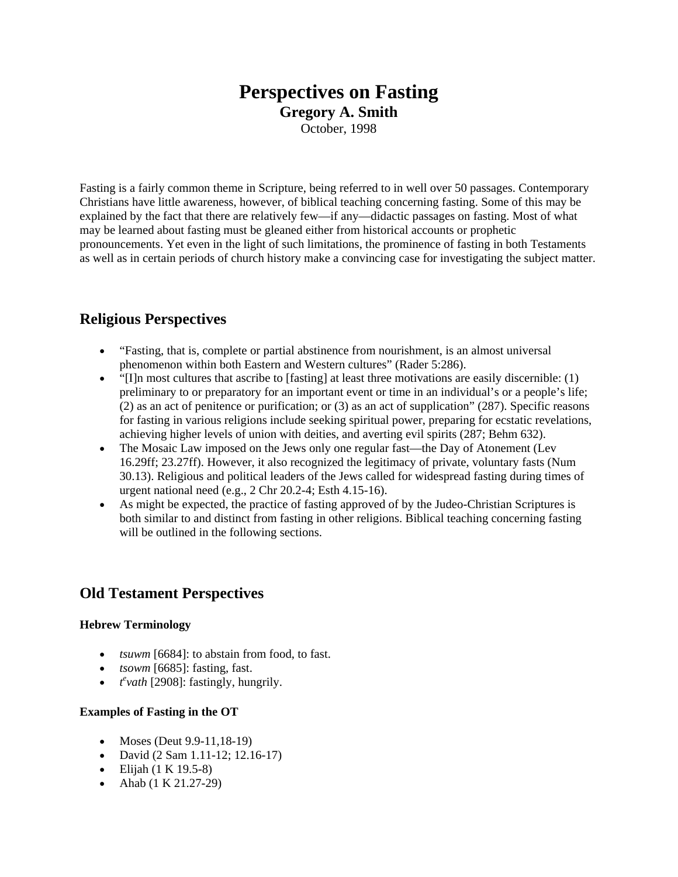# **Perspectives on Fasting Gregory A. Smith**

October, 1998

Fasting is a fairly common theme in Scripture, being referred to in well over 50 passages. Contemporary Christians have little awareness, however, of biblical teaching concerning fasting. Some of this may be explained by the fact that there are relatively few—if any—didactic passages on fasting. Most of what may be learned about fasting must be gleaned either from historical accounts or prophetic pronouncements. Yet even in the light of such limitations, the prominence of fasting in both Testaments as well as in certain periods of church history make a convincing case for investigating the subject matter.

# **Religious Perspectives**

- "Fasting, that is, complete or partial abstinence from nourishment, is an almost universal phenomenon within both Eastern and Western cultures" (Rader 5:286).
- $\bullet$  "[I]n most cultures that ascribe to [fasting] at least three motivations are easily discernible: (1) preliminary to or preparatory for an important event or time in an individual's or a people's life; (2) as an act of penitence or purification; or (3) as an act of supplication" (287). Specific reasons for fasting in various religions include seeking spiritual power, preparing for ecstatic revelations, achieving higher levels of union with deities, and averting evil spirits (287; Behm 632).
- The Mosaic Law imposed on the Jews only one regular fast—the Day of Atonement (Lev 16.29ff; 23.27ff). However, it also recognized the legitimacy of private, voluntary fasts (Num 30.13). Religious and political leaders of the Jews called for widespread fasting during times of urgent national need (e.g., 2 Chr 20.2-4; Esth 4.15-16).
- As might be expected, the practice of fasting approved of by the Judeo-Christian Scriptures is both similar to and distinct from fasting in other religions. Biblical teaching concerning fasting will be outlined in the following sections.

# **Old Testament Perspectives**

## **Hebrew Terminology**

- *tsuwm* [6684]: to abstain from food, to fast.
- *tsowm* [6685]: fasting, fast.
- $\cdot$   $t^e$ *vath* [2908]: fastingly, hungrily.

## **Examples of Fasting in the OT**

- Moses (Deut  $9.9 11,18 19$ )
- David (2 Sam 1.11-12; 12.16-17)
- $\bullet$  Elijah (1 K 19.5-8)
- Ahab  $(1 K 21.27-29)$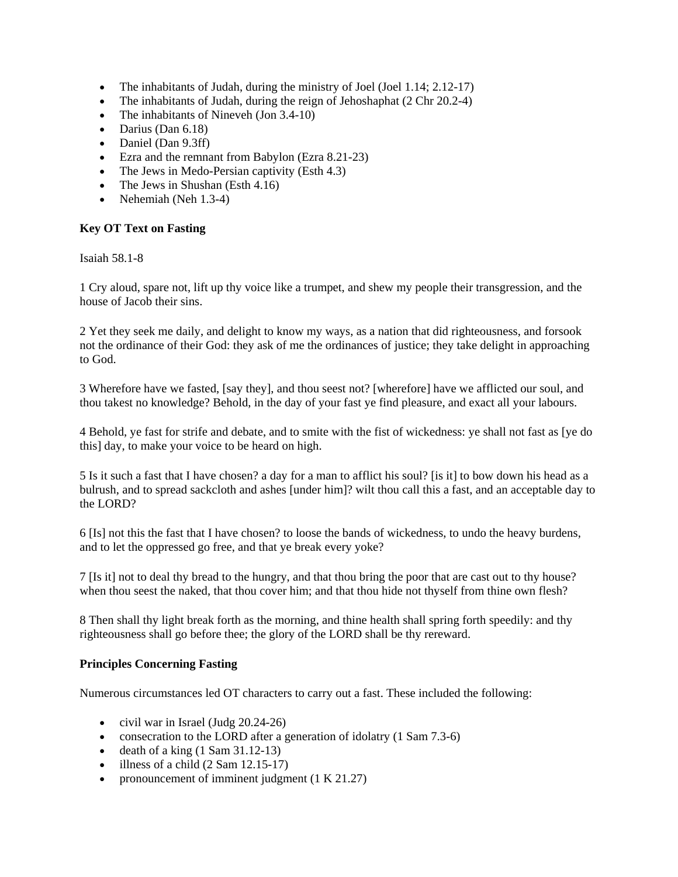- The inhabitants of Judah, during the ministry of Joel (Joel 1.14; 2.12-17)
- The inhabitants of Judah, during the reign of Jehoshaphat (2 Chr 20.2-4)
- The inhabitants of Nineveh (Jon 3.4-10)
- $\bullet$  Darius (Dan 6.18)
- Daniel (Dan 9.3ff)
- Ezra and the remnant from Babylon (Ezra 8.21-23)
- The Jews in Medo-Persian captivity (Esth 4.3)
- The Jews in Shushan (Esth 4.16)
- Nehemiah (Neh  $1.3-4$ )

## **Key OT Text on Fasting**

Isaiah 58.1-8

1 Cry aloud, spare not, lift up thy voice like a trumpet, and shew my people their transgression, and the house of Jacob their sins.

2 Yet they seek me daily, and delight to know my ways, as a nation that did righteousness, and forsook not the ordinance of their God: they ask of me the ordinances of justice; they take delight in approaching to God.

3 Wherefore have we fasted, [say they], and thou seest not? [wherefore] have we afflicted our soul, and thou takest no knowledge? Behold, in the day of your fast ye find pleasure, and exact all your labours.

4 Behold, ye fast for strife and debate, and to smite with the fist of wickedness: ye shall not fast as [ye do this] day, to make your voice to be heard on high.

5 Is it such a fast that I have chosen? a day for a man to afflict his soul? [is it] to bow down his head as a bulrush, and to spread sackcloth and ashes [under him]? wilt thou call this a fast, and an acceptable day to the LORD?

6 [Is] not this the fast that I have chosen? to loose the bands of wickedness, to undo the heavy burdens, and to let the oppressed go free, and that ye break every yoke?

7 [Is it] not to deal thy bread to the hungry, and that thou bring the poor that are cast out to thy house? when thou seest the naked, that thou cover him; and that thou hide not thyself from thine own flesh?

8 Then shall thy light break forth as the morning, and thine health shall spring forth speedily: and thy righteousness shall go before thee; the glory of the LORD shall be thy rereward.

#### **Principles Concerning Fasting**

Numerous circumstances led OT characters to carry out a fast. These included the following:

- civil war in Israel (Judg  $20.24-26$ )
- consecration to the LORD after a generation of idolatry (1 Sam 7.3-6)
- death of a king  $(1 \text{ Sam } 31.12-13)$
- $\bullet$  illness of a child (2 Sam 12.15-17)
- pronouncement of imminent judgment (1 K 21.27)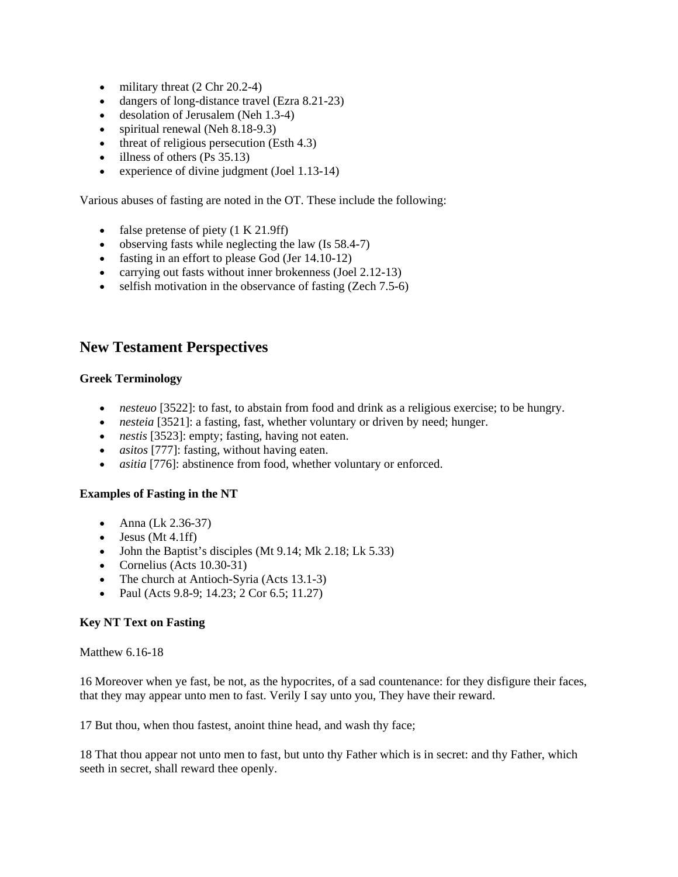- $\bullet$  military threat (2 Chr 20.2-4)
- dangers of long-distance travel (Ezra 8.21-23)
- desolation of Jerusalem (Neh 1.3-4)
- spiritual renewal (Neh 8.18-9.3)
- $\bullet$  threat of religious persecution (Esth 4.3)
- $\bullet$  illness of others (Ps 35.13)
- experience of divine judgment (Joel 1.13-14)

Various abuses of fasting are noted in the OT. These include the following:

- false pretense of piety  $(1 K 21.9ff)$
- observing fasts while neglecting the law  $($ Is 58.4-7 $)$
- fasting in an effort to please God (Jer 14.10-12)
- carrying out fasts without inner brokenness (Joel 2.12-13)
- $\bullet$  selfish motivation in the observance of fasting (Zech 7.5-6)

# **New Testament Perspectives**

#### **Greek Terminology**

- *nesteuo* [3522]: to fast, to abstain from food and drink as a religious exercise; to be hungry.
- *nesteia* [3521]: a fasting, fast, whether voluntary or driven by need; hunger.
- *nestis* [3523]: empty; fasting, having not eaten.
- *asitos* [777]: fasting, without having eaten.
- *asitia* [776]: abstinence from food, whether voluntary or enforced.

#### **Examples of Fasting in the NT**

- Anna (Lk 2.36-37)
- $\bullet$  Jesus (Mt 4.1ff)
- John the Baptist's disciples (Mt 9.14; Mk 2.18; Lk 5.33)
- Cornelius (Acts 10.30-31)
- The church at Antioch-Syria (Acts 13.1-3)
- Paul (Acts 9.8-9; 14.23; 2 Cor 6.5; 11.27)

#### **Key NT Text on Fasting**

Matthew 6.16-18

16 Moreover when ye fast, be not, as the hypocrites, of a sad countenance: for they disfigure their faces, that they may appear unto men to fast. Verily I say unto you, They have their reward.

17 But thou, when thou fastest, anoint thine head, and wash thy face;

18 That thou appear not unto men to fast, but unto thy Father which is in secret: and thy Father, which seeth in secret, shall reward thee openly.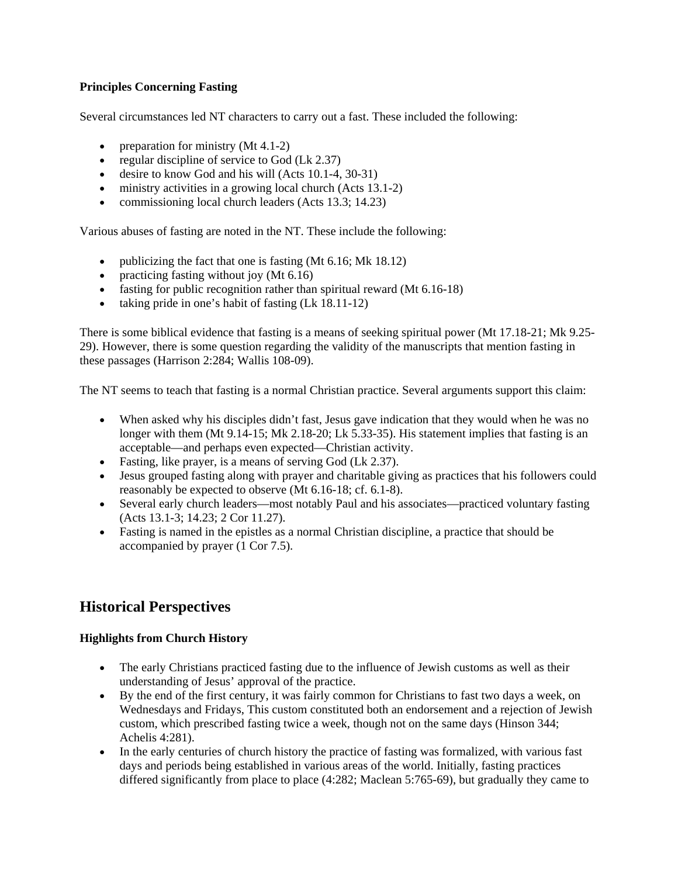### **Principles Concerning Fasting**

Several circumstances led NT characters to carry out a fast. These included the following:

- preparation for ministry  $(Mt 4.1-2)$
- regular discipline of service to God (Lk 2.37)
- desire to know God and his will  $(Acts 10.1-4, 30-31)$
- ministry activities in a growing local church (Acts 13.1-2)
- commissioning local church leaders (Acts 13.3; 14.23)

Various abuses of fasting are noted in the NT. These include the following:

- publicizing the fact that one is fasting (Mt 6.16; Mk 18.12)
- practicing fasting without joy (Mt 6.16)
- fasting for public recognition rather than spiritual reward (Mt 6.16-18)
- taking pride in one's habit of fasting  $(Lk 18.11-12)$

There is some biblical evidence that fasting is a means of seeking spiritual power (Mt 17.18-21; Mk 9.25- 29). However, there is some question regarding the validity of the manuscripts that mention fasting in these passages (Harrison 2:284; Wallis 108-09).

The NT seems to teach that fasting is a normal Christian practice. Several arguments support this claim:

- When asked why his disciples didn't fast, Jesus gave indication that they would when he was no longer with them (Mt 9.14-15; Mk 2.18-20; Lk 5.33-35). His statement implies that fasting is an acceptable—and perhaps even expected—Christian activity.
- Fasting, like prayer, is a means of serving God (Lk 2.37).
- Jesus grouped fasting along with prayer and charitable giving as practices that his followers could reasonably be expected to observe (Mt 6.16-18; cf. 6.1-8).
- Several early church leaders—most notably Paul and his associates—practiced voluntary fasting (Acts 13.1-3; 14.23; 2 Cor 11.27).
- Fasting is named in the epistles as a normal Christian discipline, a practice that should be accompanied by prayer (1 Cor 7.5).

# **Historical Perspectives**

#### **Highlights from Church History**

- The early Christians practiced fasting due to the influence of Jewish customs as well as their understanding of Jesus' approval of the practice.
- By the end of the first century, it was fairly common for Christians to fast two days a week, on Wednesdays and Fridays, This custom constituted both an endorsement and a rejection of Jewish custom, which prescribed fasting twice a week, though not on the same days (Hinson 344; Achelis 4:281).
- In the early centuries of church history the practice of fasting was formalized, with various fast days and periods being established in various areas of the world. Initially, fasting practices differed significantly from place to place (4:282; Maclean 5:765-69), but gradually they came to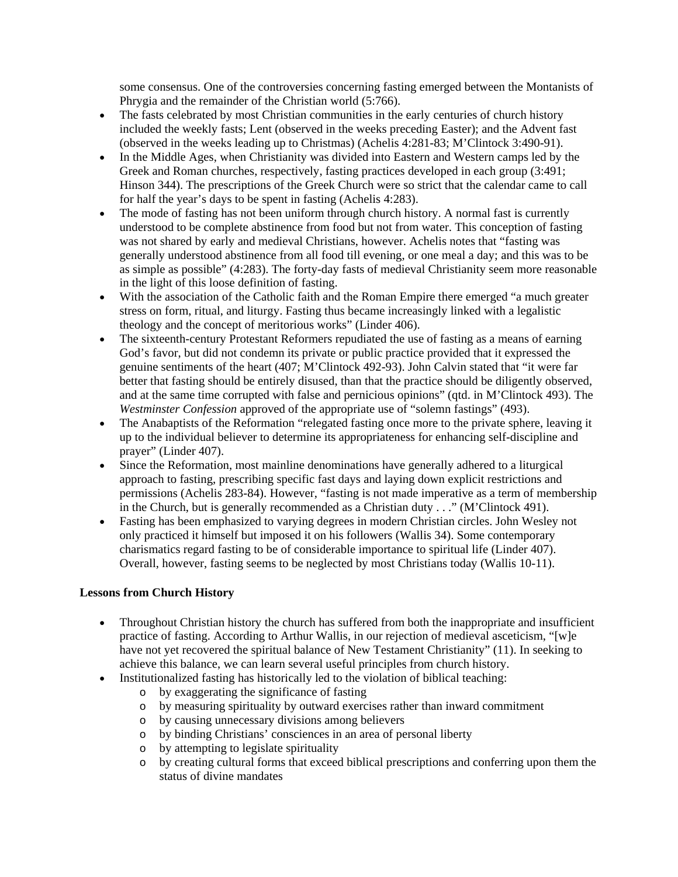some consensus. One of the controversies concerning fasting emerged between the Montanists of Phrygia and the remainder of the Christian world (5:766).

- The fasts celebrated by most Christian communities in the early centuries of church history included the weekly fasts; Lent (observed in the weeks preceding Easter); and the Advent fast (observed in the weeks leading up to Christmas) (Achelis 4:281-83; M'Clintock 3:490-91).
- In the Middle Ages, when Christianity was divided into Eastern and Western camps led by the Greek and Roman churches, respectively, fasting practices developed in each group (3:491; Hinson 344). The prescriptions of the Greek Church were so strict that the calendar came to call for half the year's days to be spent in fasting (Achelis 4:283).
- The mode of fasting has not been uniform through church history. A normal fast is currently understood to be complete abstinence from food but not from water. This conception of fasting was not shared by early and medieval Christians, however. Achelis notes that "fasting was generally understood abstinence from all food till evening, or one meal a day; and this was to be as simple as possible" (4:283). The forty-day fasts of medieval Christianity seem more reasonable in the light of this loose definition of fasting.
- With the association of the Catholic faith and the Roman Empire there emerged "a much greater stress on form, ritual, and liturgy. Fasting thus became increasingly linked with a legalistic theology and the concept of meritorious works" (Linder 406).
- The sixteenth-century Protestant Reformers repudiated the use of fasting as a means of earning God's favor, but did not condemn its private or public practice provided that it expressed the genuine sentiments of the heart (407; M'Clintock 492-93). John Calvin stated that "it were far better that fasting should be entirely disused, than that the practice should be diligently observed, and at the same time corrupted with false and pernicious opinions" (qtd. in M'Clintock 493). The *Westminster Confession* approved of the appropriate use of "solemn fastings" (493).
- The Anabaptists of the Reformation "relegated fasting once more to the private sphere, leaving it up to the individual believer to determine its appropriateness for enhancing self-discipline and prayer" (Linder 407).
- Since the Reformation, most mainline denominations have generally adhered to a liturgical approach to fasting, prescribing specific fast days and laying down explicit restrictions and permissions (Achelis 283-84). However, "fasting is not made imperative as a term of membership in the Church, but is generally recommended as a Christian duty . . ." (M'Clintock 491).
- Fasting has been emphasized to varying degrees in modern Christian circles. John Wesley not only practiced it himself but imposed it on his followers (Wallis 34). Some contemporary charismatics regard fasting to be of considerable importance to spiritual life (Linder 407). Overall, however, fasting seems to be neglected by most Christians today (Wallis 10-11).

## **Lessons from Church History**

- Throughout Christian history the church has suffered from both the inappropriate and insufficient practice of fasting. According to Arthur Wallis, in our rejection of medieval asceticism, "[w]e have not yet recovered the spiritual balance of New Testament Christianity" (11). In seeking to achieve this balance, we can learn several useful principles from church history.
- Institutionalized fasting has historically led to the violation of biblical teaching:
	- o by exaggerating the significance of fasting
	- o by measuring spirituality by outward exercises rather than inward commitment
	- o by causing unnecessary divisions among believers
	- o by binding Christians' consciences in an area of personal liberty
	- o by attempting to legislate spirituality
	- o by creating cultural forms that exceed biblical prescriptions and conferring upon them the status of divine mandates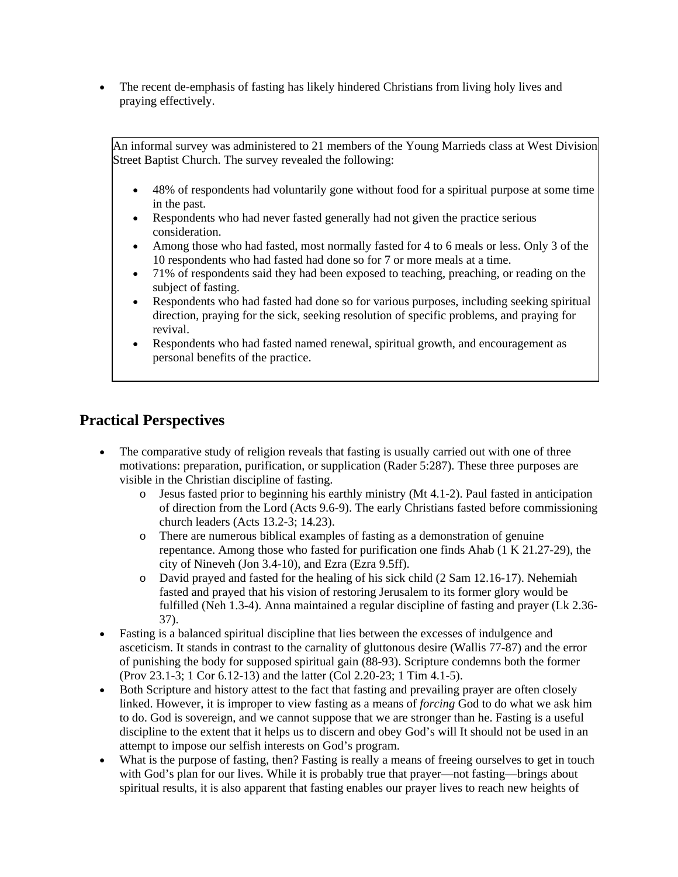The recent de-emphasis of fasting has likely hindered Christians from living holy lives and praying effectively.

An informal survey was administered to 21 members of the Young Marrieds class at West Division Street Baptist Church. The survey revealed the following:

- 48% of respondents had voluntarily gone without food for a spiritual purpose at some time in the past.
- Respondents who had never fasted generally had not given the practice serious consideration.
- Among those who had fasted, most normally fasted for 4 to 6 meals or less. Only 3 of the 10 respondents who had fasted had done so for 7 or more meals at a time.
- 71% of respondents said they had been exposed to teaching, preaching, or reading on the subject of fasting.
- Respondents who had fasted had done so for various purposes, including seeking spiritual direction, praying for the sick, seeking resolution of specific problems, and praying for revival.
- Respondents who had fasted named renewal, spiritual growth, and encouragement as personal benefits of the practice.

# **Practical Perspectives**

- The comparative study of religion reveals that fasting is usually carried out with one of three motivations: preparation, purification, or supplication (Rader 5:287). These three purposes are visible in the Christian discipline of fasting.
	- o Jesus fasted prior to beginning his earthly ministry (Mt 4.1-2). Paul fasted in anticipation of direction from the Lord (Acts 9.6-9). The early Christians fasted before commissioning church leaders (Acts 13.2-3; 14.23).
	- o There are numerous biblical examples of fasting as a demonstration of genuine repentance. Among those who fasted for purification one finds Ahab (1 K 21.27-29), the city of Nineveh (Jon 3.4-10), and Ezra (Ezra 9.5ff).
	- o David prayed and fasted for the healing of his sick child (2 Sam 12.16-17). Nehemiah fasted and prayed that his vision of restoring Jerusalem to its former glory would be fulfilled (Neh 1.3-4). Anna maintained a regular discipline of fasting and prayer (Lk 2.36- 37).
- Fasting is a balanced spiritual discipline that lies between the excesses of indulgence and asceticism. It stands in contrast to the carnality of gluttonous desire (Wallis 77-87) and the error of punishing the body for supposed spiritual gain (88-93). Scripture condemns both the former (Prov 23.1-3; 1 Cor 6.12-13) and the latter (Col 2.20-23; 1 Tim 4.1-5).
- Both Scripture and history attest to the fact that fasting and prevailing prayer are often closely linked. However, it is improper to view fasting as a means of *forcing* God to do what we ask him to do. God is sovereign, and we cannot suppose that we are stronger than he. Fasting is a useful discipline to the extent that it helps us to discern and obey God's will It should not be used in an attempt to impose our selfish interests on God's program.
- What is the purpose of fasting, then? Fasting is really a means of freeing ourselves to get in touch with God's plan for our lives. While it is probably true that prayer—not fasting—brings about spiritual results, it is also apparent that fasting enables our prayer lives to reach new heights of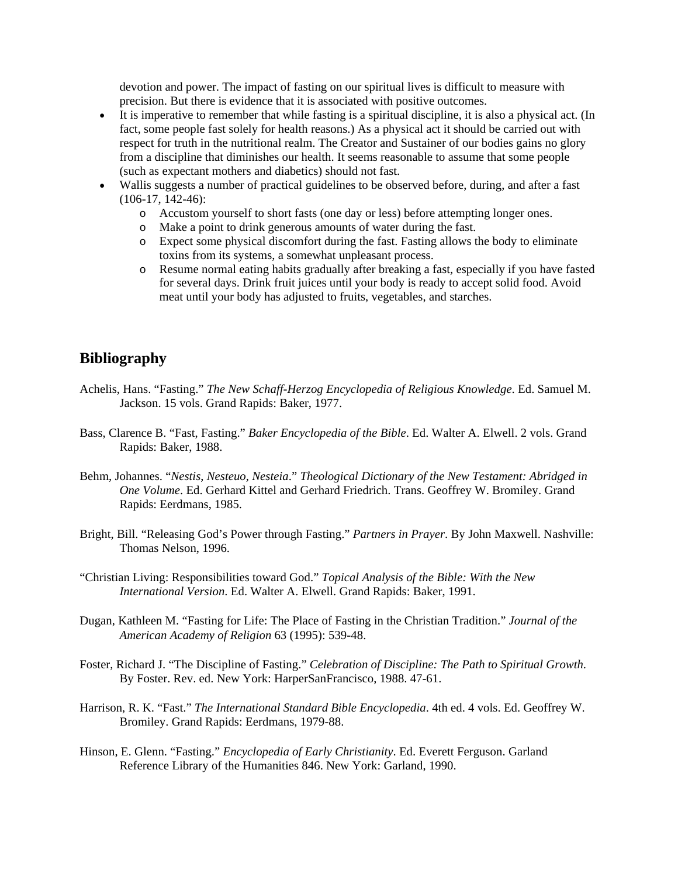devotion and power. The impact of fasting on our spiritual lives is difficult to measure with precision. But there is evidence that it is associated with positive outcomes.

- It is imperative to remember that while fasting is a spiritual discipline, it is also a physical act. (In fact, some people fast solely for health reasons.) As a physical act it should be carried out with respect for truth in the nutritional realm. The Creator and Sustainer of our bodies gains no glory from a discipline that diminishes our health. It seems reasonable to assume that some people (such as expectant mothers and diabetics) should not fast.
- Wallis suggests a number of practical guidelines to be observed before, during, and after a fast (106-17, 142-46):
	- o Accustom yourself to short fasts (one day or less) before attempting longer ones.
	- o Make a point to drink generous amounts of water during the fast.
	- o Expect some physical discomfort during the fast. Fasting allows the body to eliminate toxins from its systems, a somewhat unpleasant process.
	- o Resume normal eating habits gradually after breaking a fast, especially if you have fasted for several days. Drink fruit juices until your body is ready to accept solid food. Avoid meat until your body has adjusted to fruits, vegetables, and starches.

# **Bibliography**

- Achelis, Hans. "Fasting." *The New Schaff-Herzog Encyclopedia of Religious Knowledge*. Ed. Samuel M. Jackson. 15 vols. Grand Rapids: Baker, 1977.
- Bass, Clarence B. "Fast, Fasting." *Baker Encyclopedia of the Bible*. Ed. Walter A. Elwell. 2 vols. Grand Rapids: Baker, 1988.
- Behm, Johannes. "*Nestis*, *Nesteuo*, *Nesteia*." *Theological Dictionary of the New Testament: Abridged in One Volume*. Ed. Gerhard Kittel and Gerhard Friedrich. Trans. Geoffrey W. Bromiley. Grand Rapids: Eerdmans, 1985.
- Bright, Bill. "Releasing God's Power through Fasting." *Partners in Prayer*. By John Maxwell. Nashville: Thomas Nelson, 1996.
- "Christian Living: Responsibilities toward God." *Topical Analysis of the Bible: With the New International Version*. Ed. Walter A. Elwell. Grand Rapids: Baker, 1991.
- Dugan, Kathleen M. "Fasting for Life: The Place of Fasting in the Christian Tradition." *Journal of the American Academy of Religion* 63 (1995): 539-48.
- Foster, Richard J. "The Discipline of Fasting." *Celebration of Discipline: The Path to Spiritual Growth*. By Foster. Rev. ed. New York: HarperSanFrancisco, 1988. 47-61.
- Harrison, R. K. "Fast." *The International Standard Bible Encyclopedia*. 4th ed. 4 vols. Ed. Geoffrey W. Bromiley. Grand Rapids: Eerdmans, 1979-88.
- Hinson, E. Glenn. "Fasting." *Encyclopedia of Early Christianity*. Ed. Everett Ferguson. Garland Reference Library of the Humanities 846. New York: Garland, 1990.